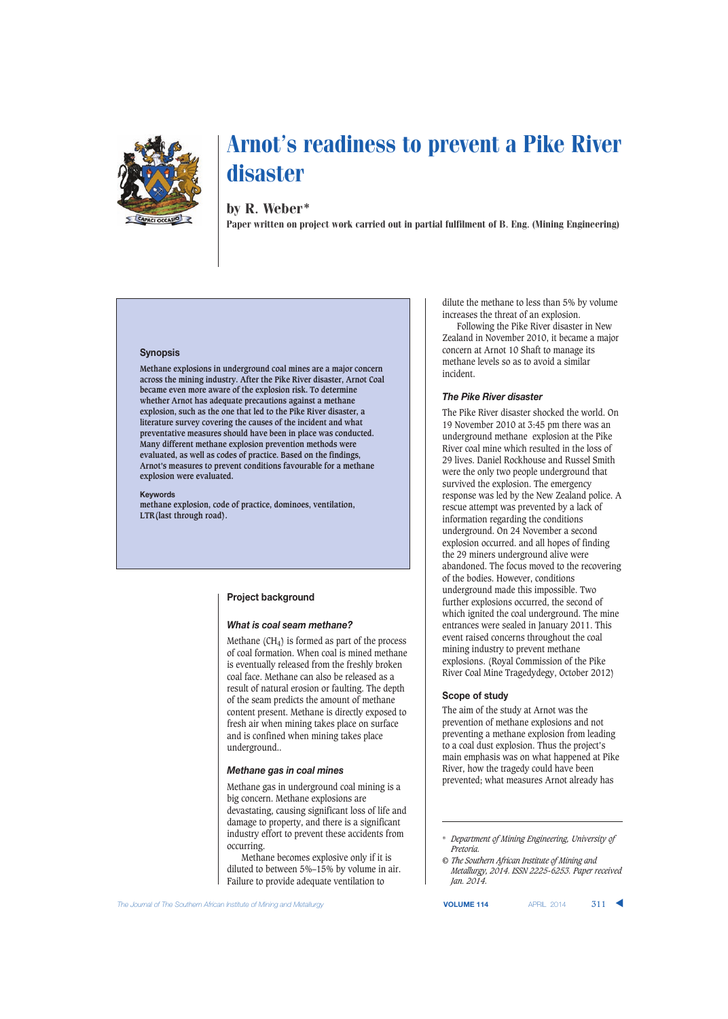

## by R. Weber\*

Paper written on project work carried out in partial fulfilment of B. Eng. (Mining Engineering)

#### **Synopsis**

**Methane explosions in underground coal mines are a major concern across the mining industry. After the Pike River disaster, Arnot Coal became even more aware of the explosion risk. To determine whether Arnot has adequate precautions against a methane explosion, such as the one that led to the Pike River disaster, a literature survey covering the causes of the incident and what preventative measures should have been in place was conducted. Many different methane explosion prevention methods were evaluated, as well as codes of practice. Based on the findings, Arnot's measures to prevent conditions favourable for a methane explosion were evaluated.**

#### **Keywords**

**methane explosion, code of practice, dominoes, ventilation, LTR(last through road).**

#### **Project background**

#### *What is coal seam methane?*

Methane  $(CH<sub>4</sub>)$  is formed as part of the process of coal formation. When coal is mined methane is eventually released from the freshly broken coal face. Methane can also be released as a result of natural erosion or faulting. The depth of the seam predicts the amount of methane content present. Methane is directly exposed to fresh air when mining takes place on surface and is confined when mining takes place underground..

#### *Methane gas in coal mines*

Methane gas in underground coal mining is a big concern. Methane explosions are devastating, causing significant loss of life and damage to property, and there is a significant industry effort to prevent these accidents from occurring.

Methane becomes explosive only if it is diluted to between 5%–15% by volume in air. Failure to provide adequate ventilation to

dilute the methane to less than 5% by volume increases the threat of an explosion.

Following the Pike River disaster in New Zealand in November 2010, it became a major concern at Arnot 10 Shaft to manage its methane levels so as to avoid a similar incident.

#### *The Pike River disaster*

The Pike River disaster shocked the world. On 19 November 2010 at 3:45 pm there was an underground methane explosion at the Pike River coal mine which resulted in the loss of 29 lives. Daniel Rockhouse and Russel Smith were the only two people underground that survived the explosion. The emergency response was led by the New Zealand police. A rescue attempt was prevented by a lack of information regarding the conditions underground. On 24 November a second explosion occurred. and all hopes of finding the 29 miners underground alive were abandoned. The focus moved to the recovering of the bodies. However, conditions underground made this impossible. Two further explosions occurred, the second of which ignited the coal underground. The mine entrances were sealed in January 2011. This event raised concerns throughout the coal mining industry to prevent methane explosions. (Royal Commission of the Pike River Coal Mine Tragedydegy, October 2012)

#### **Scope of study**

The aim of the study at Arnot was the prevention of methane explosions and not preventing a methane explosion from leading to a coal dust explosion. Thus the project's main emphasis was on what happened at Pike River, how the tragedy could have been prevented; what measures Arnot already has

**The Journal of The Southern African Institute of Mining and Metallurgy <b>VOLUME 114** APRIL 2014 **311 ▲** 

<sup>\*</sup> *Department of Mining Engineering, University of Pretoria.*

*<sup>©</sup> The Southern African Institute of Mining and Metallurgy, 2014. ISSN 2225-6253. Paper received Jan. 2014.*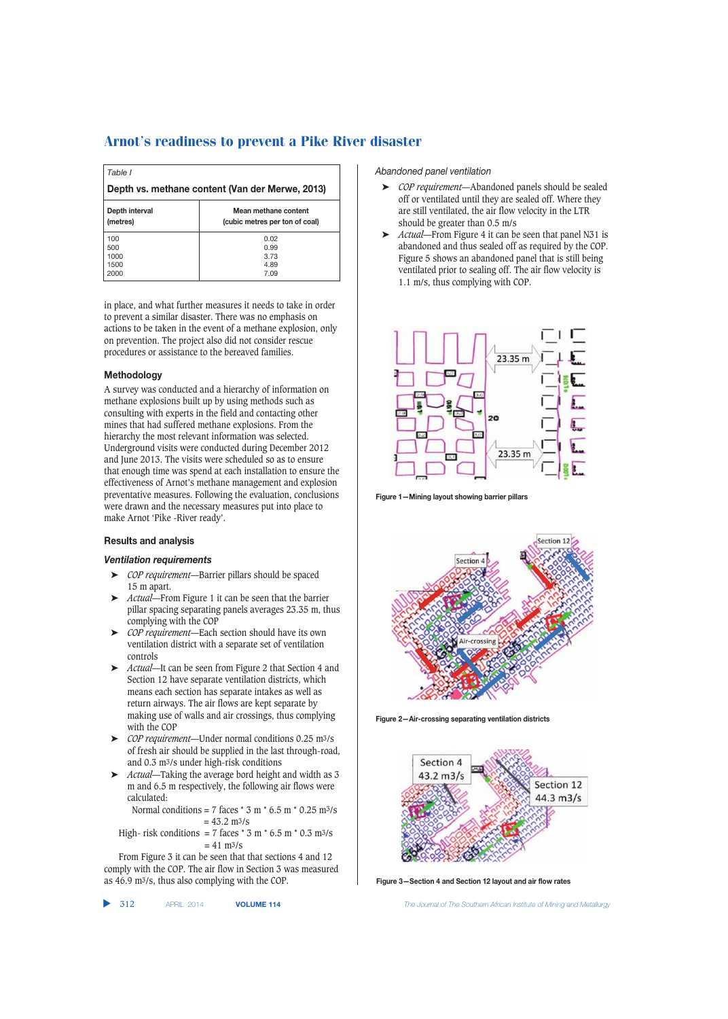| Table I                                                                              |      |  |
|--------------------------------------------------------------------------------------|------|--|
| Depth vs. methane content (Van der Merwe, 2013)                                      |      |  |
| Mean methane content<br>Depth interval<br>(metres)<br>(cubic metres per ton of coal) |      |  |
| 100                                                                                  | 0.02 |  |
| 500                                                                                  | 0.99 |  |
| 1000                                                                                 | 3.73 |  |
| 1500                                                                                 | 4.89 |  |
| 2000                                                                                 | 7.09 |  |

in place, and what further measures it needs to take in order to prevent a similar disaster. There was no emphasis on actions to be taken in the event of a methane explosion, only on prevention. The project also did not consider rescue procedures or assistance to the bereaved families.

#### **Methodology**

A survey was conducted and a hierarchy of information on methane explosions built up by using methods such as consulting with experts in the field and contacting other mines that had suffered methane explosions. From the hierarchy the most relevant information was selected. Underground visits were conducted during December 2012 and June 2013. The visits were scheduled so as to ensure that enough time was spend at each installation to ensure the effectiveness of Arnot's methane management and explosion preventative measures. Following the evaluation, conclusions were drawn and the necessary measures put into place to make Arnot 'Pike -River ready'.

#### **Results and analysis**

#### *Ventilation requirements*

- ➤ *COP requirement*—Barrier pillars should be spaced 15 m apart.
- ➤ *Actual*—From Figure 1 it can be seen that the barrier pillar spacing separating panels averages 23.35 m, thus complying with the COP
- ➤ *COP requirement*—Each section should have its own ventilation district with a separate set of ventilation controls
- ➤ *Actual*—It can be seen from Figure 2 that Section 4 and Section 12 have separate ventilation districts, which means each section has separate intakes as well as return airways. The air flows are kept separate by making use of walls and air crossings, thus complying with the COP
- ➤ *COP requirement*—Under normal conditions 0.25 m3/s of fresh air should be supplied in the last through-road, and 0.3 m3/s under high-risk conditions
- ➤ *Actual*—Taking the average bord height and width as 3 m and 6.5 m respectively, the following air flows were calculated:

Normal conditions = 7 faces  $*$  3 m  $*$  6.5 m $*$  0.25 m $\frac{3}{s}$  $= 43.2$  m $\frac{3}{s}$ 

High- risk conditions = 7 faces \* 3 m \* 6.5 m \* 0.3 m3/s = 41 m3/s

From Figure 3 it can be seen that that sections 4 and 12 comply with the COP. The air flow in Section 3 was measured as 46.9 m3/s, thus also complying with the COP.

 $\blacktriangleright$  312

*Abandoned panel ventilation*

- ➤ *COP requirement*—Abandoned panels should be sealed off or ventilated until they are sealed off. Where they are still ventilated, the air flow velocity in the LTR should be greater than 0.5 m/s
- ➤ *Actual*—From Figure 4 it can be seen that panel N31 is abandoned and thus sealed off as required by the COP. Figure 5 shows an abandoned panel that is still being ventilated prior to sealing off. The air flow velocity is 1.1 m/s, thus complying with COP.



**Figure 1—Mining layout showing barrier pillars**



**Figure 2—Air-crossing separating ventilation districts**



**Figure 3—Section 4 and Section 12 layout and air flow rates**

312 APRIL 2014 **VOLUME 114** *The Journal of The Southern African Institute of Mining and Metallurgy*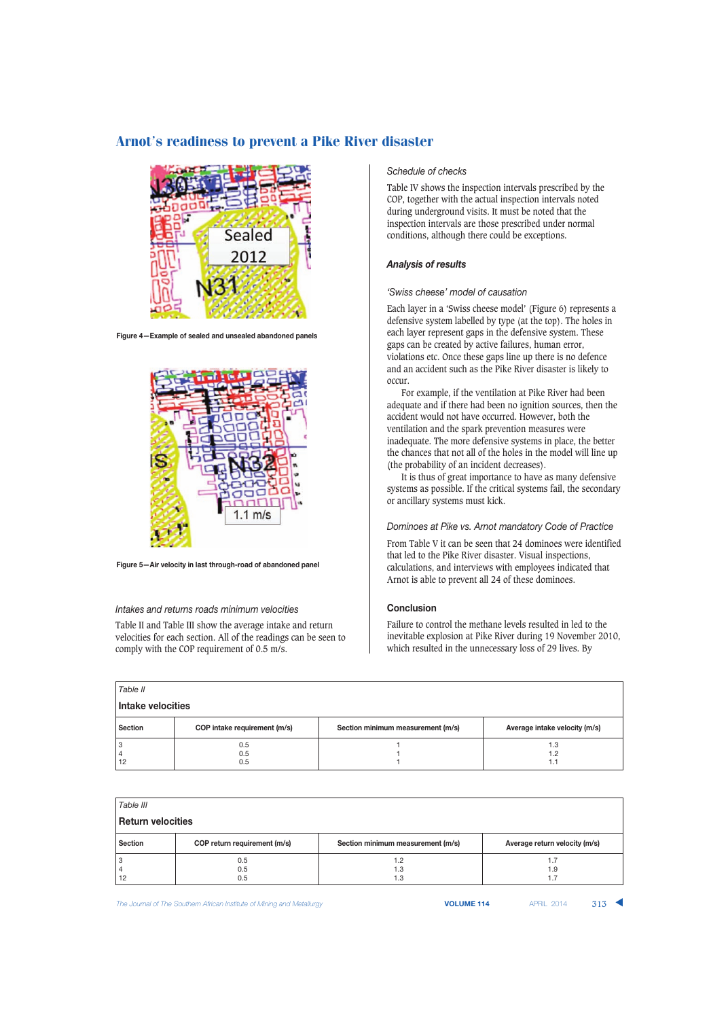

**Figure 4—Example of sealed and unsealed abandoned panels**



**Figure 5—Air velocity in last through-road of abandoned panel**

#### *Intakes and returns roads minimum velocities*

Table II and Table III show the average intake and return velocities for each section. All of the readings can be seen to comply with the COP requirement of 0.5 m/s.

### *Schedule of checks*

Table IV shows the inspection intervals prescribed by the COP, together with the actual inspection intervals noted during underground visits. It must be noted that the inspection intervals are those prescribed under normal conditions, although there could be exceptions.

#### *Analysis of results*

#### *'Swiss cheese' model of causation*

Each layer in a 'Swiss cheese model' (Figure 6) represents a defensive system labelled by type (at the top). The holes in each layer represent gaps in the defensive system. These gaps can be created by active failures, human error, violations etc. Once these gaps line up there is no defence and an accident such as the Pike River disaster is likely to occur.

For example, if the ventilation at Pike River had been adequate and if there had been no ignition sources, then the accident would not have occurred. However, both the ventilation and the spark prevention measures were inadequate. The more defensive systems in place, the better the chances that not all of the holes in the model will line up (the probability of an incident decreases).

It is thus of great importance to have as many defensive systems as possible. If the critical systems fail, the secondary or ancillary systems must kick.

#### *Dominoes at Pike vs. Arnot mandatory Code of Practice*

From Table V it can be seen that 24 dominoes were identified that led to the Pike River disaster. Visual inspections, calculations, and interviews with employees indicated that Arnot is able to prevent all 24 of these dominoes.

### **Conclusion**

Failure to control the methane levels resulted in led to the inevitable explosion at Pike River during 19 November 2010, which resulted in the unnecessary loss of 29 lives. By

| Table II          |                              |                                   |                               |  |
|-------------------|------------------------------|-----------------------------------|-------------------------------|--|
| Intake velocities |                              |                                   |                               |  |
| <b>Section</b>    | COP intake requirement (m/s) | Section minimum measurement (m/s) | Average intake velocity (m/s) |  |
|                   | 0.5<br>0.5                   |                                   | 1.3<br>1.2                    |  |
| 12                | 0.5                          |                                   | 1.1                           |  |

| Table III                |                              |                                   |                               |  |
|--------------------------|------------------------------|-----------------------------------|-------------------------------|--|
| <b>Return velocities</b> |                              |                                   |                               |  |
| <b>Section</b>           | COP return requirement (m/s) | Section minimum measurement (m/s) | Average return velocity (m/s) |  |
| 12                       | 0.5<br>0.5<br>0.5            | 1.2<br>1.3<br>1.3                 | 1.9<br>1.7                    |  |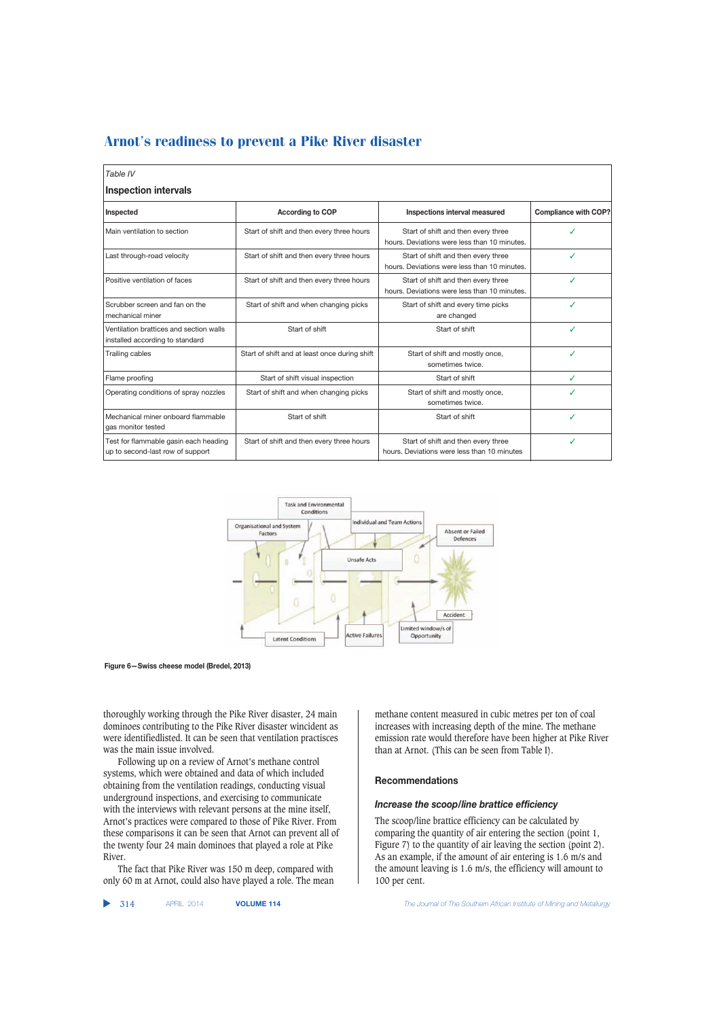| Table IV                                                                   |                                               |                                                                                     |                             |  |
|----------------------------------------------------------------------------|-----------------------------------------------|-------------------------------------------------------------------------------------|-----------------------------|--|
| <b>Inspection intervals</b>                                                |                                               |                                                                                     |                             |  |
| Inspected                                                                  | <b>According to COP</b>                       | Inspections interval measured                                                       | <b>Compliance with COP?</b> |  |
| Main ventilation to section                                                | Start of shift and then every three hours     | Start of shift and then every three<br>hours. Deviations were less than 10 minutes. |                             |  |
| Last through-road velocity                                                 | Start of shift and then every three hours     | Start of shift and then every three<br>hours. Deviations were less than 10 minutes. |                             |  |
| Positive ventilation of faces                                              | Start of shift and then every three hours     | Start of shift and then every three<br>hours. Deviations were less than 10 minutes. |                             |  |
| Scrubber screen and fan on the<br>mechanical miner                         | Start of shift and when changing picks        | Start of shift and every time picks<br>are changed                                  |                             |  |
| Ventilation brattices and section walls<br>installed according to standard | Start of shift                                | Start of shift                                                                      |                             |  |
| Trailing cables                                                            | Start of shift and at least once during shift | Start of shift and mostly once,<br>sometimes twice.                                 | ℐ                           |  |
| Flame proofing                                                             | Start of shift visual inspection              | Start of shift                                                                      | ✓                           |  |
| Operating conditions of spray nozzles                                      | Start of shift and when changing picks        | Start of shift and mostly once,<br>sometimes twice.                                 |                             |  |
| Mechanical miner onboard flammable<br>gas monitor tested                   | Start of shift                                | Start of shift                                                                      | ℐ                           |  |
| Test for flammable gasin each heading<br>up to second-last row of support  | Start of shift and then every three hours     | Start of shift and then every three<br>hours. Deviations were less than 10 minutes  |                             |  |



**Figure 6—Swiss cheese model (Bredel, 2013)**

thoroughly working through the Pike River disaster, 24 main dominoes contributing to the Pike River disaster wincident as were identifiedlisted. It can be seen that ventilation practisces was the main issue involved.

Following up on a review of Arnot's methane control systems, which were obtained and data of which included obtaining from the ventilation readings, conducting visual underground inspections, and exercising to communicate with the interviews with relevant persons at the mine itself, Arnot's practices were compared to those of Pike River. From these comparisons it can be seen that Arnot can prevent all of the twenty four 24 main dominoes that played a role at Pike River.

The fact that Pike River was 150 m deep, compared with only 60 m at Arnot, could also have played a role. The mean

 $\blacktriangleright$  314

methane content measured in cubic metres per ton of coal increases with increasing depth of the mine. The methane emission rate would therefore have been higher at Pike River than at Arnot. (This can be seen from Table I).

#### **Recommendations**

#### *Increase the scoop/line brattice efficiency*

The scoop/line brattice efficiency can be calculated by comparing the quantity of air entering the section (point 1, Figure 7) to the quantity of air leaving the section (point 2). As an example, if the amount of air entering is 1.6 m/s and the amount leaving is 1.6 m/s, the efficiency will amount to 100 per cent.

314 APRIL 2014 **VOLUME 114** *The Journal of The Southern African Institute of Mining and Metallurgy*